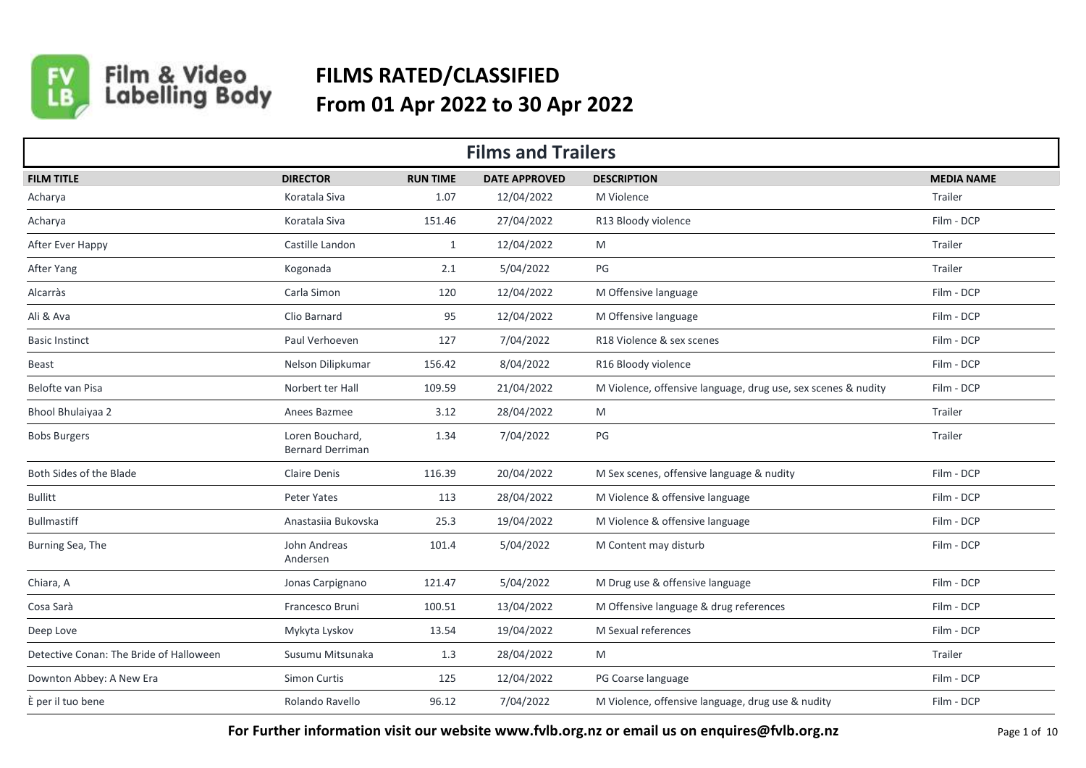

## Film & Video<br>Labelling Body **FILMS RATED/CLASSIFIED From 01 Apr 2022 to 30 Apr 2022**

| <b>Films and Trailers</b>               |                                            |                 |                      |                                                               |                   |  |  |  |
|-----------------------------------------|--------------------------------------------|-----------------|----------------------|---------------------------------------------------------------|-------------------|--|--|--|
| <b>FILM TITLE</b>                       | <b>DIRECTOR</b>                            | <b>RUN TIME</b> | <b>DATE APPROVED</b> | <b>DESCRIPTION</b>                                            | <b>MEDIA NAME</b> |  |  |  |
| Acharya                                 | Koratala Siva                              | 1.07            | 12/04/2022           | M Violence                                                    | Trailer           |  |  |  |
| Acharya                                 | Koratala Siva                              | 151.46          | 27/04/2022           | R13 Bloody violence                                           | Film - DCP        |  |  |  |
| After Ever Happy                        | Castille Landon                            | $\mathbf{1}$    | 12/04/2022           | M                                                             | Trailer           |  |  |  |
| After Yang                              | Kogonada                                   | 2.1             | 5/04/2022            | PG                                                            | Trailer           |  |  |  |
| Alcarràs                                | Carla Simon                                | 120             | 12/04/2022           | M Offensive language                                          | Film - DCP        |  |  |  |
| Ali & Ava                               | Clio Barnard                               | 95              | 12/04/2022           | M Offensive language                                          | Film - DCP        |  |  |  |
| <b>Basic Instinct</b>                   | Paul Verhoeven                             | 127             | 7/04/2022            | R18 Violence & sex scenes                                     | Film - DCP        |  |  |  |
| <b>Beast</b>                            | Nelson Dilipkumar                          | 156.42          | 8/04/2022            | R16 Bloody violence                                           | Film - DCP        |  |  |  |
| Belofte van Pisa                        | Norbert ter Hall                           | 109.59          | 21/04/2022           | M Violence, offensive language, drug use, sex scenes & nudity | Film - DCP        |  |  |  |
| Bhool Bhulaiyaa 2                       | Anees Bazmee                               | 3.12            | 28/04/2022           | M                                                             | Trailer           |  |  |  |
| <b>Bobs Burgers</b>                     | Loren Bouchard,<br><b>Bernard Derriman</b> | 1.34            | 7/04/2022            | $\mathsf{PG}$                                                 | Trailer           |  |  |  |
| Both Sides of the Blade                 | <b>Claire Denis</b>                        | 116.39          | 20/04/2022           | M Sex scenes, offensive language & nudity                     | Film - DCP        |  |  |  |
| <b>Bullitt</b>                          | Peter Yates                                | 113             | 28/04/2022           | M Violence & offensive language                               | Film - DCP        |  |  |  |
| <b>Bullmastiff</b>                      | Anastasiia Bukovska                        | 25.3            | 19/04/2022           | M Violence & offensive language                               | Film - DCP        |  |  |  |
| Burning Sea, The                        | John Andreas<br>Andersen                   | 101.4           | 5/04/2022            | M Content may disturb                                         | Film - DCP        |  |  |  |
| Chiara, A                               | Jonas Carpignano                           | 121.47          | 5/04/2022            | M Drug use & offensive language                               | Film - DCP        |  |  |  |
| Cosa Sarà                               | Francesco Bruni                            | 100.51          | 13/04/2022           | M Offensive language & drug references                        | Film - DCP        |  |  |  |
| Deep Love                               | Mykyta Lyskov                              | 13.54           | 19/04/2022           | M Sexual references                                           | Film - DCP        |  |  |  |
| Detective Conan: The Bride of Halloween | Susumu Mitsunaka                           | 1.3             | 28/04/2022           | M                                                             | Trailer           |  |  |  |
| Downton Abbey: A New Era                | Simon Curtis                               | 125             | 12/04/2022           | PG Coarse language                                            | Film - DCP        |  |  |  |
| È per il tuo bene                       | Rolando Ravello                            | 96.12           | 7/04/2022            | M Violence, offensive language, drug use & nudity             | Film - DCP        |  |  |  |

**For Further information visit our website www.fvlb.org.nz or email us on enquires@fvlb.org.nz** Page 1 of 10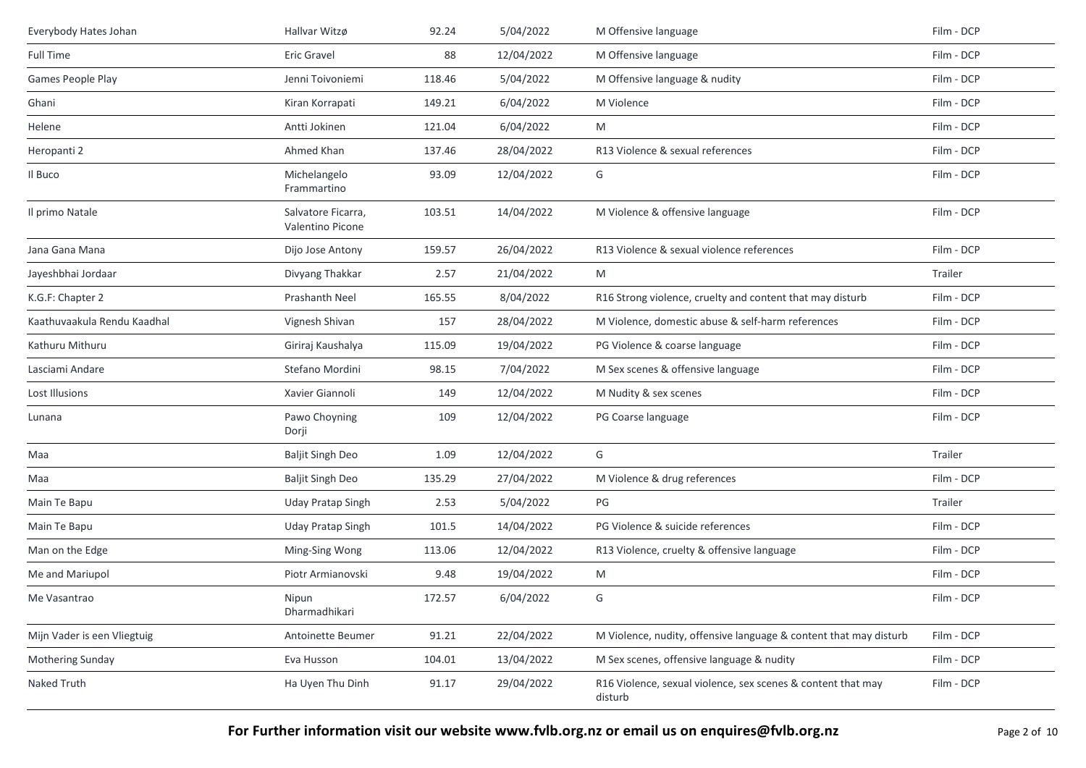| Everybody Hates Johan       | Hallvar Witzø                          | 92.24  | 5/04/2022  | M Offensive language                                                    | Film - DCP |
|-----------------------------|----------------------------------------|--------|------------|-------------------------------------------------------------------------|------------|
| Full Time                   | Eric Gravel                            | 88     | 12/04/2022 | M Offensive language                                                    | Film - DCP |
| Games People Play           | Jenni Toivoniemi                       | 118.46 | 5/04/2022  | M Offensive language & nudity                                           | Film - DCP |
| Ghani                       | Kiran Korrapati                        | 149.21 | 6/04/2022  | M Violence                                                              | Film - DCP |
| Helene                      | Antti Jokinen                          | 121.04 | 6/04/2022  | M                                                                       | Film - DCP |
| Heropanti 2                 | Ahmed Khan                             | 137.46 | 28/04/2022 | R13 Violence & sexual references                                        | Film - DCP |
| Il Buco                     | Michelangelo<br>Frammartino            | 93.09  | 12/04/2022 | G                                                                       | Film - DCP |
| Il primo Natale             | Salvatore Ficarra,<br>Valentino Picone | 103.51 | 14/04/2022 | M Violence & offensive language                                         | Film - DCP |
| Jana Gana Mana              | Dijo Jose Antony                       | 159.57 | 26/04/2022 | R13 Violence & sexual violence references                               | Film - DCP |
| Jayeshbhai Jordaar          | Divyang Thakkar                        | 2.57   | 21/04/2022 | M                                                                       | Trailer    |
| K.G.F: Chapter 2            | Prashanth Neel                         | 165.55 | 8/04/2022  | R16 Strong violence, cruelty and content that may disturb               | Film - DCP |
| Kaathuvaakula Rendu Kaadhal | Vignesh Shivan                         | 157    | 28/04/2022 | M Violence, domestic abuse & self-harm references                       | Film - DCP |
| Kathuru Mithuru             | Giriraj Kaushalya                      | 115.09 | 19/04/2022 | PG Violence & coarse language                                           | Film - DCP |
| Lasciami Andare             | Stefano Mordini                        | 98.15  | 7/04/2022  | M Sex scenes & offensive language                                       | Film - DCP |
| Lost Illusions              | Xavier Giannoli                        | 149    | 12/04/2022 | M Nudity & sex scenes                                                   | Film - DCP |
| Lunana                      | Pawo Choyning<br>Dorji                 | 109    | 12/04/2022 | PG Coarse language                                                      | Film - DCP |
| Maa                         | <b>Baljit Singh Deo</b>                | 1.09   | 12/04/2022 | G                                                                       | Trailer    |
| Maa                         | <b>Baljit Singh Deo</b>                | 135.29 | 27/04/2022 | M Violence & drug references                                            | Film - DCP |
| Main Te Bapu                | <b>Uday Pratap Singh</b>               | 2.53   | 5/04/2022  | PG                                                                      | Trailer    |
| Main Te Bapu                | <b>Uday Pratap Singh</b>               | 101.5  | 14/04/2022 | PG Violence & suicide references                                        | Film - DCP |
| Man on the Edge             | Ming-Sing Wong                         | 113.06 | 12/04/2022 | R13 Violence, cruelty & offensive language                              | Film - DCP |
| Me and Mariupol             | Piotr Armianovski                      | 9.48   | 19/04/2022 | M                                                                       | Film - DCP |
| Me Vasantrao                | Nipun<br>Dharmadhikari                 | 172.57 | 6/04/2022  | G                                                                       | Film - DCP |
| Mijn Vader is een Vliegtuig | Antoinette Beumer                      | 91.21  | 22/04/2022 | M Violence, nudity, offensive language & content that may disturb       | Film - DCP |
| Mothering Sunday            | Eva Husson                             | 104.01 | 13/04/2022 | M Sex scenes, offensive language & nudity                               | Film - DCP |
| Naked Truth                 | Ha Uyen Thu Dinh                       | 91.17  | 29/04/2022 | R16 Violence, sexual violence, sex scenes & content that may<br>disturb | Film - DCP |
|                             |                                        |        |            |                                                                         |            |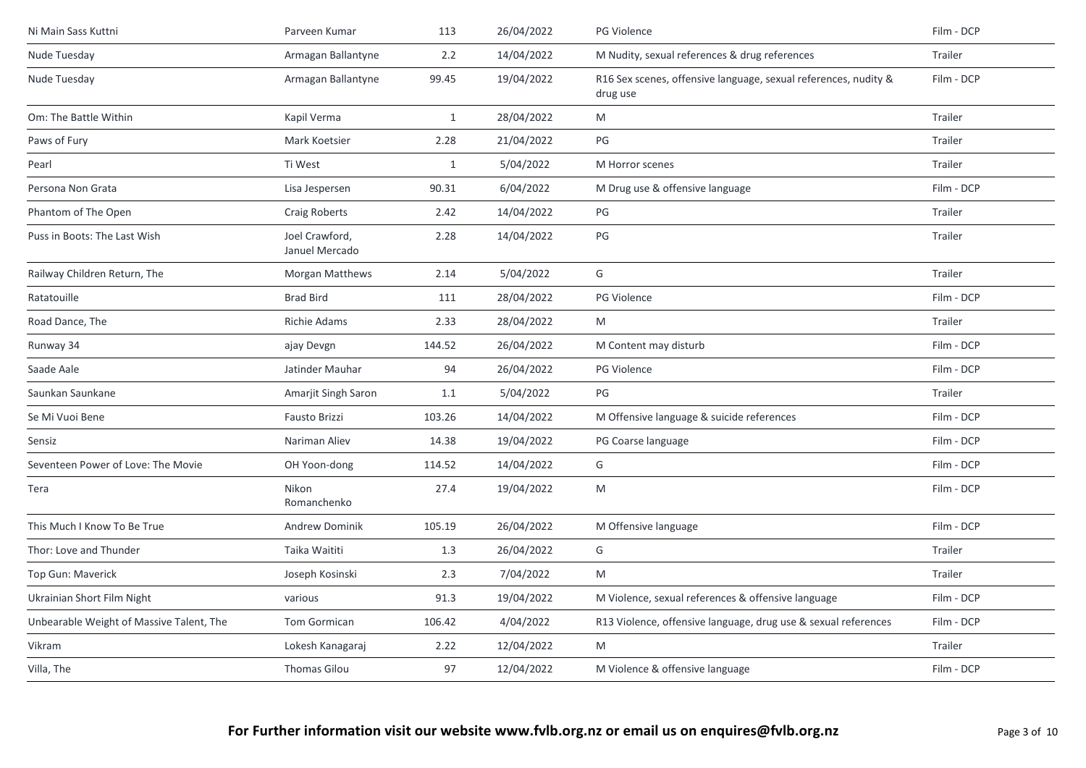| Ni Main Sass Kuttni                      | Parveen Kumar                    | 113          | 26/04/2022 | PG Violence                                                                 | Film - DCP |
|------------------------------------------|----------------------------------|--------------|------------|-----------------------------------------------------------------------------|------------|
| Nude Tuesday                             | Armagan Ballantyne               | 2.2          | 14/04/2022 | M Nudity, sexual references & drug references                               | Trailer    |
| Nude Tuesday                             | Armagan Ballantyne               | 99.45        | 19/04/2022 | R16 Sex scenes, offensive language, sexual references, nudity &<br>drug use | Film - DCP |
| Om: The Battle Within                    | Kapil Verma                      | $\mathbf{1}$ | 28/04/2022 | M                                                                           | Trailer    |
| Paws of Fury                             | Mark Koetsier                    | 2.28         | 21/04/2022 | PG                                                                          | Trailer    |
| Pearl                                    | Ti West                          | $\mathbf{1}$ | 5/04/2022  | M Horror scenes                                                             | Trailer    |
| Persona Non Grata                        | Lisa Jespersen                   | 90.31        | 6/04/2022  | M Drug use & offensive language                                             | Film - DCP |
| Phantom of The Open                      | Craig Roberts                    | 2.42         | 14/04/2022 | PG                                                                          | Trailer    |
| Puss in Boots: The Last Wish             | Joel Crawford,<br>Januel Mercado | 2.28         | 14/04/2022 | $PG$                                                                        | Trailer    |
| Railway Children Return, The             | <b>Morgan Matthews</b>           | 2.14         | 5/04/2022  | G                                                                           | Trailer    |
| Ratatouille                              | <b>Brad Bird</b>                 | 111          | 28/04/2022 | PG Violence                                                                 | Film - DCP |
| Road Dance, The                          | <b>Richie Adams</b>              | 2.33         | 28/04/2022 | M                                                                           | Trailer    |
| Runway 34                                | ajay Devgn                       | 144.52       | 26/04/2022 | M Content may disturb                                                       | Film - DCP |
| Saade Aale                               | Jatinder Mauhar                  | 94           | 26/04/2022 | PG Violence                                                                 | Film - DCP |
| Saunkan Saunkane                         | Amarjit Singh Saron              | 1.1          | 5/04/2022  | $\mathsf{PG}$                                                               | Trailer    |
| Se Mi Vuoi Bene                          | Fausto Brizzi                    | 103.26       | 14/04/2022 | M Offensive language & suicide references                                   | Film - DCP |
| Sensiz                                   | Nariman Aliev                    | 14.38        | 19/04/2022 | PG Coarse language                                                          | Film - DCP |
| Seventeen Power of Love: The Movie       | OH Yoon-dong                     | 114.52       | 14/04/2022 | G                                                                           | Film - DCP |
| Tera                                     | Nikon<br>Romanchenko             | 27.4         | 19/04/2022 | M                                                                           | Film - DCP |
| This Much I Know To Be True              | <b>Andrew Dominik</b>            | 105.19       | 26/04/2022 | M Offensive language                                                        | Film - DCP |
| Thor: Love and Thunder                   | Taika Waititi                    | 1.3          | 26/04/2022 | G                                                                           | Trailer    |
| Top Gun: Maverick                        | Joseph Kosinski                  | 2.3          | 7/04/2022  | M                                                                           | Trailer    |
| Ukrainian Short Film Night               | various                          | 91.3         | 19/04/2022 | M Violence, sexual references & offensive language                          | Film - DCP |
| Unbearable Weight of Massive Talent, The | <b>Tom Gormican</b>              | 106.42       | 4/04/2022  | R13 Violence, offensive language, drug use & sexual references              | Film - DCP |
| Vikram                                   | Lokesh Kanagaraj                 | 2.22         | 12/04/2022 | M                                                                           | Trailer    |
| Villa, The                               | Thomas Gilou                     | 97           | 12/04/2022 | M Violence & offensive language                                             | Film - DCP |
|                                          |                                  |              |            |                                                                             |            |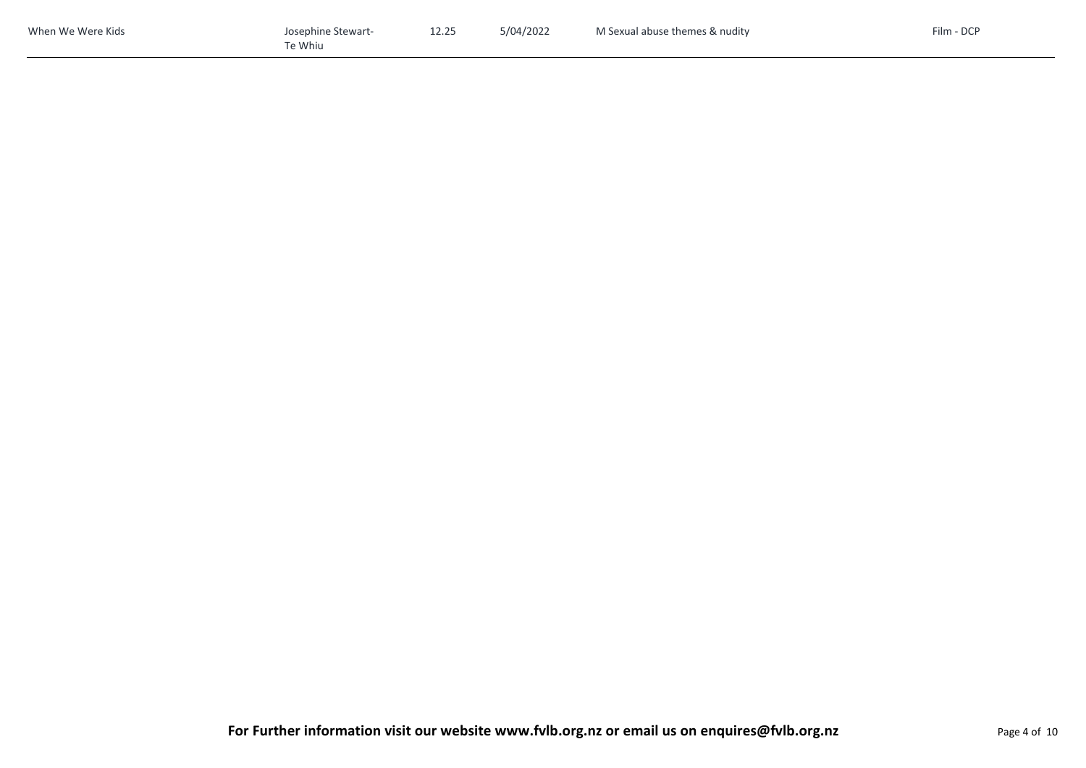| When We Were Kids | Josephine Stewart- | 12.25 | 5/04/2022 | M Sexual abuse themes & nudity | Film - DCP |
|-------------------|--------------------|-------|-----------|--------------------------------|------------|
|                   | $\tau$ e Whiu      |       |           |                                |            |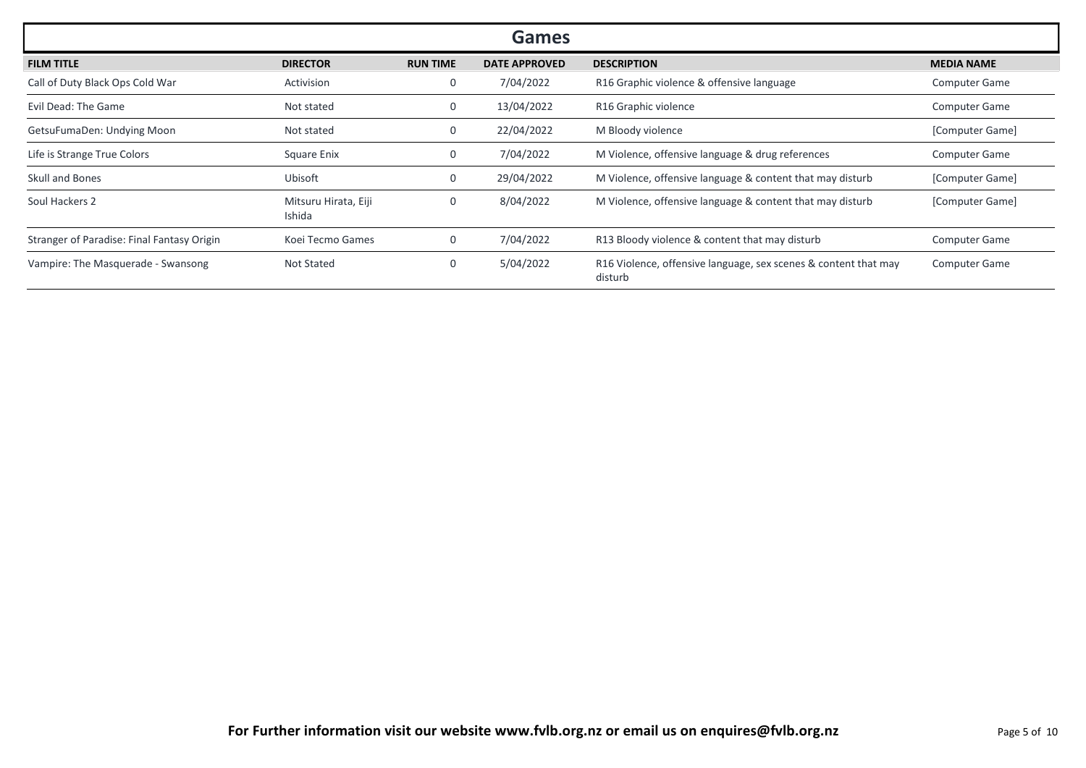| Games                                      |                                |                 |                      |                                                                            |                      |  |  |
|--------------------------------------------|--------------------------------|-----------------|----------------------|----------------------------------------------------------------------------|----------------------|--|--|
| <b>FILM TITLE</b>                          | <b>DIRECTOR</b>                | <b>RUN TIME</b> | <b>DATE APPROVED</b> | <b>DESCRIPTION</b>                                                         | <b>MEDIA NAME</b>    |  |  |
| Call of Duty Black Ops Cold War            | Activision                     | 0               | 7/04/2022            | R16 Graphic violence & offensive language                                  | <b>Computer Game</b> |  |  |
| Evil Dead: The Game                        | Not stated                     | 0               | 13/04/2022           | R16 Graphic violence                                                       | <b>Computer Game</b> |  |  |
| GetsuFumaDen: Undying Moon                 | Not stated                     | 0               | 22/04/2022           | M Bloody violence                                                          | [Computer Game]      |  |  |
| Life is Strange True Colors                | Square Enix                    | 0               | 7/04/2022            | M Violence, offensive language & drug references                           | <b>Computer Game</b> |  |  |
| <b>Skull and Bones</b>                     | Ubisoft                        | 0               | 29/04/2022           | M Violence, offensive language & content that may disturb                  | [Computer Game]      |  |  |
| Soul Hackers 2                             | Mitsuru Hirata, Eiji<br>Ishida |                 | 8/04/2022            | M Violence, offensive language & content that may disturb                  | [Computer Game]      |  |  |
| Stranger of Paradise: Final Fantasy Origin | Koei Tecmo Games               |                 | 7/04/2022            | R13 Bloody violence & content that may disturb                             | <b>Computer Game</b> |  |  |
| Vampire: The Masquerade - Swansong         | <b>Not Stated</b>              | 0               | 5/04/2022            | R16 Violence, offensive language, sex scenes & content that may<br>disturb | <b>Computer Game</b> |  |  |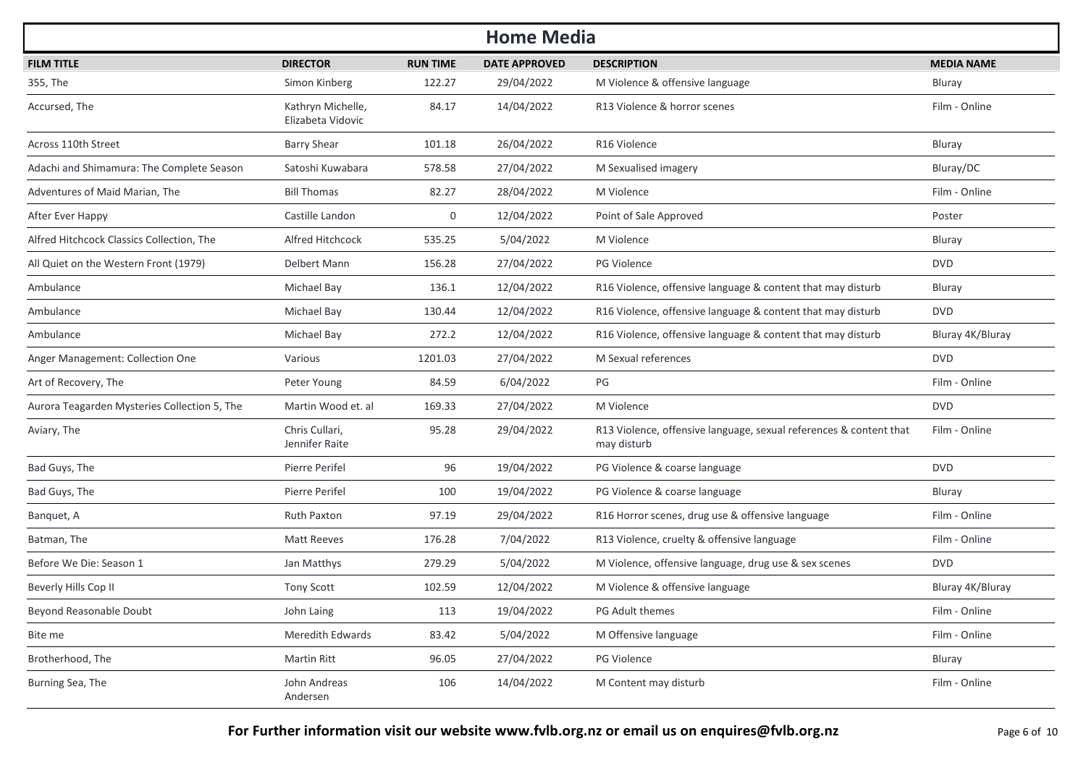| <b>Home Media</b>                            |                                        |                 |                      |                                                                                   |                   |  |  |  |
|----------------------------------------------|----------------------------------------|-----------------|----------------------|-----------------------------------------------------------------------------------|-------------------|--|--|--|
| <b>FILM TITLE</b>                            | <b>DIRECTOR</b>                        | <b>RUN TIME</b> | <b>DATE APPROVED</b> | <b>DESCRIPTION</b>                                                                | <b>MEDIA NAME</b> |  |  |  |
| 355, The                                     | Simon Kinberg                          | 122.27          | 29/04/2022           | M Violence & offensive language                                                   | Bluray            |  |  |  |
| Accursed, The                                | Kathryn Michelle,<br>Elizabeta Vidovic | 84.17           | 14/04/2022           | R13 Violence & horror scenes                                                      | Film - Online     |  |  |  |
| Across 110th Street                          | <b>Barry Shear</b>                     | 101.18          | 26/04/2022           | R16 Violence                                                                      | Bluray            |  |  |  |
| Adachi and Shimamura: The Complete Season    | Satoshi Kuwabara                       | 578.58          | 27/04/2022           | M Sexualised imagery                                                              | Bluray/DC         |  |  |  |
| Adventures of Maid Marian, The               | <b>Bill Thomas</b>                     | 82.27           | 28/04/2022           | M Violence                                                                        | Film - Online     |  |  |  |
| After Ever Happy                             | Castille Landon                        | $\mathbf 0$     | 12/04/2022           | Point of Sale Approved                                                            | Poster            |  |  |  |
| Alfred Hitchcock Classics Collection, The    | Alfred Hitchcock                       | 535.25          | 5/04/2022            | M Violence                                                                        | Bluray            |  |  |  |
| All Quiet on the Western Front (1979)        | Delbert Mann                           | 156.28          | 27/04/2022           | <b>PG Violence</b>                                                                | <b>DVD</b>        |  |  |  |
| Ambulance                                    | Michael Bay                            | 136.1           | 12/04/2022           | R16 Violence, offensive language & content that may disturb                       | Bluray            |  |  |  |
| Ambulance                                    | Michael Bay                            | 130.44          | 12/04/2022           | R16 Violence, offensive language & content that may disturb                       | <b>DVD</b>        |  |  |  |
| Ambulance                                    | Michael Bay                            | 272.2           | 12/04/2022           | R16 Violence, offensive language & content that may disturb                       | Bluray 4K/Bluray  |  |  |  |
| Anger Management: Collection One             | Various                                | 1201.03         | 27/04/2022           | M Sexual references                                                               | <b>DVD</b>        |  |  |  |
| Art of Recovery, The                         | Peter Young                            | 84.59           | 6/04/2022            | PG                                                                                | Film - Online     |  |  |  |
| Aurora Teagarden Mysteries Collection 5, The | Martin Wood et. al                     | 169.33          | 27/04/2022           | M Violence                                                                        | <b>DVD</b>        |  |  |  |
| Aviary, The                                  | Chris Cullari,<br>Jennifer Raite       | 95.28           | 29/04/2022           | R13 Violence, offensive language, sexual references & content that<br>may disturb | Film - Online     |  |  |  |
| Bad Guys, The                                | Pierre Perifel                         | 96              | 19/04/2022           | PG Violence & coarse language                                                     | <b>DVD</b>        |  |  |  |
| Bad Guys, The                                | Pierre Perifel                         | 100             | 19/04/2022           | PG Violence & coarse language                                                     | Bluray            |  |  |  |
| Banquet, A                                   | <b>Ruth Paxton</b>                     | 97.19           | 29/04/2022           | R16 Horror scenes, drug use & offensive language                                  | Film - Online     |  |  |  |
| Batman, The                                  | <b>Matt Reeves</b>                     | 176.28          | 7/04/2022            | R13 Violence, cruelty & offensive language                                        | Film - Online     |  |  |  |
| Before We Die: Season 1                      | Jan Matthys                            | 279.29          | 5/04/2022            | M Violence, offensive language, drug use & sex scenes                             | <b>DVD</b>        |  |  |  |
| Beverly Hills Cop II                         | <b>Tony Scott</b>                      | 102.59          | 12/04/2022           | M Violence & offensive language                                                   | Bluray 4K/Bluray  |  |  |  |
| Beyond Reasonable Doubt                      | John Laing                             | 113             | 19/04/2022           | PG Adult themes                                                                   | Film - Online     |  |  |  |
| Bite me                                      | Meredith Edwards                       | 83.42           | 5/04/2022            | M Offensive language                                                              | Film - Online     |  |  |  |
| Brotherhood, The                             | Martin Ritt                            | 96.05           | 27/04/2022           | PG Violence                                                                       | Bluray            |  |  |  |
| Burning Sea, The                             | John Andreas<br>Andersen               | 106             | 14/04/2022           | M Content may disturb                                                             | Film - Online     |  |  |  |

**For Further information visit our website www.fvlb.org.nz or email us on enquires@fvlb.org.nz** Page 6 of 10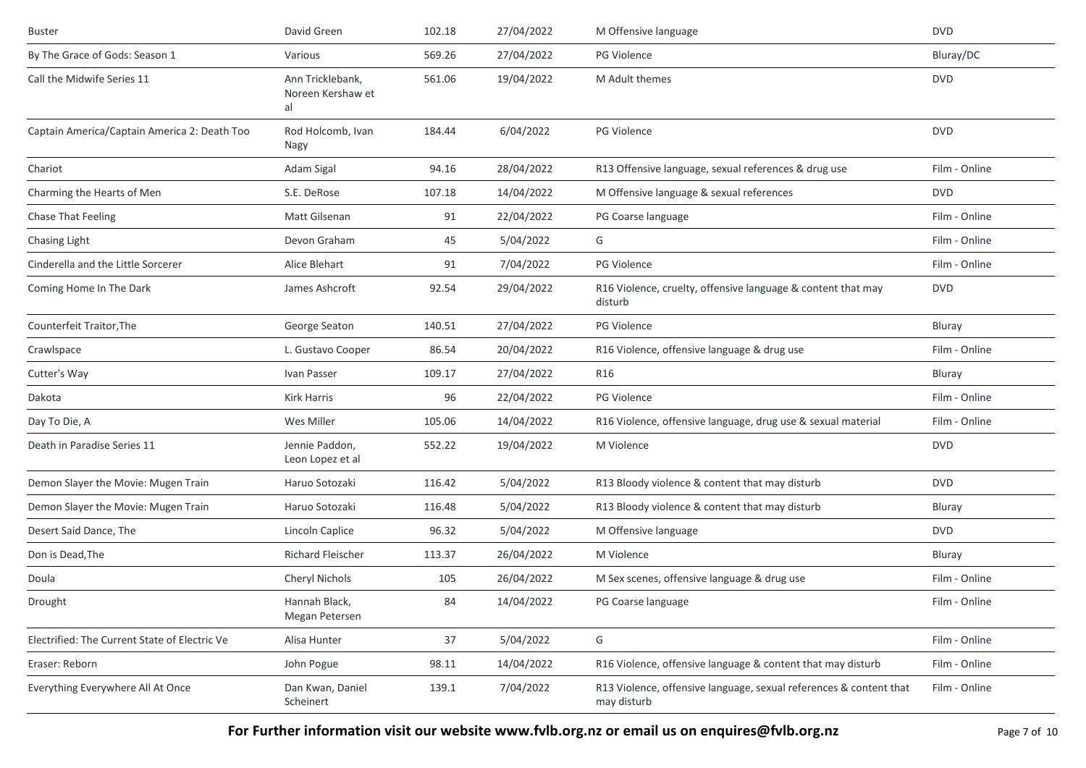| <b>Buster</b>                                 | David Green                                 | 102.18 | 27/04/2022 | M Offensive language                                                              | <b>DVD</b>    |
|-----------------------------------------------|---------------------------------------------|--------|------------|-----------------------------------------------------------------------------------|---------------|
| By The Grace of Gods: Season 1                | Various                                     | 569.26 | 27/04/2022 | <b>PG Violence</b>                                                                | Bluray/DC     |
| Call the Midwife Series 11                    | Ann Tricklebank,<br>Noreen Kershaw et<br>al | 561.06 | 19/04/2022 | M Adult themes                                                                    | <b>DVD</b>    |
| Captain America/Captain America 2: Death Too  | Rod Holcomb, Ivan<br>Nagy                   | 184.44 | 6/04/2022  | <b>PG Violence</b>                                                                | <b>DVD</b>    |
| Chariot                                       | Adam Sigal                                  | 94.16  | 28/04/2022 | R13 Offensive language, sexual references & drug use                              | Film - Online |
| Charming the Hearts of Men                    | S.E. DeRose                                 | 107.18 | 14/04/2022 | M Offensive language & sexual references                                          | <b>DVD</b>    |
| Chase That Feeling                            | Matt Gilsenan                               | 91     | 22/04/2022 | PG Coarse language                                                                | Film - Online |
| Chasing Light                                 | Devon Graham                                | 45     | 5/04/2022  | G                                                                                 | Film - Online |
| Cinderella and the Little Sorcerer            | Alice Blehart                               | 91     | 7/04/2022  | <b>PG Violence</b>                                                                | Film - Online |
| Coming Home In The Dark                       | James Ashcroft                              | 92.54  | 29/04/2022 | R16 Violence, cruelty, offensive language & content that may<br>disturb           | <b>DVD</b>    |
| Counterfeit Traitor, The                      | George Seaton                               | 140.51 | 27/04/2022 | <b>PG Violence</b>                                                                | Bluray        |
| Crawlspace                                    | L. Gustavo Cooper                           | 86.54  | 20/04/2022 | R16 Violence, offensive language & drug use                                       | Film - Online |
| Cutter's Way                                  | Ivan Passer                                 | 109.17 | 27/04/2022 | R <sub>16</sub>                                                                   | Bluray        |
| Dakota                                        | Kirk Harris                                 | 96     | 22/04/2022 | <b>PG Violence</b>                                                                | Film - Online |
| Day To Die, A                                 | Wes Miller                                  | 105.06 | 14/04/2022 | R16 Violence, offensive language, drug use & sexual material                      | Film - Online |
| Death in Paradise Series 11                   | Jennie Paddon,<br>Leon Lopez et al          | 552.22 | 19/04/2022 | M Violence                                                                        | <b>DVD</b>    |
| Demon Slayer the Movie: Mugen Train           | Haruo Sotozaki                              | 116.42 | 5/04/2022  | R13 Bloody violence & content that may disturb                                    | <b>DVD</b>    |
| Demon Slayer the Movie: Mugen Train           | Haruo Sotozaki                              | 116.48 | 5/04/2022  | R13 Bloody violence & content that may disturb                                    | Bluray        |
| Desert Said Dance, The                        | Lincoln Caplice                             | 96.32  | 5/04/2022  | M Offensive language                                                              | <b>DVD</b>    |
| Don is Dead, The                              | Richard Fleischer                           | 113.37 | 26/04/2022 | M Violence                                                                        | Bluray        |
| Doula                                         | Cheryl Nichols                              | 105    | 26/04/2022 | M Sex scenes, offensive language & drug use                                       | Film - Online |
| Drought                                       | Hannah Black,<br>Megan Petersen             | 84     | 14/04/2022 | PG Coarse language                                                                | Film - Online |
| Electrified: The Current State of Electric Ve | Alisa Hunter                                | 37     | 5/04/2022  | G                                                                                 | Film - Online |
| Eraser: Reborn                                | John Pogue                                  | 98.11  | 14/04/2022 | R16 Violence, offensive language & content that may disturb                       | Film - Online |
| Everything Everywhere All At Once             | Dan Kwan, Daniel<br>Scheinert               | 139.1  | 7/04/2022  | R13 Violence, offensive language, sexual references & content that<br>may disturb | Film - Online |

**For Further information visit our website www.fvlb.org.nz or email us on enquires@fvlb.org.nz** Page 7 of 10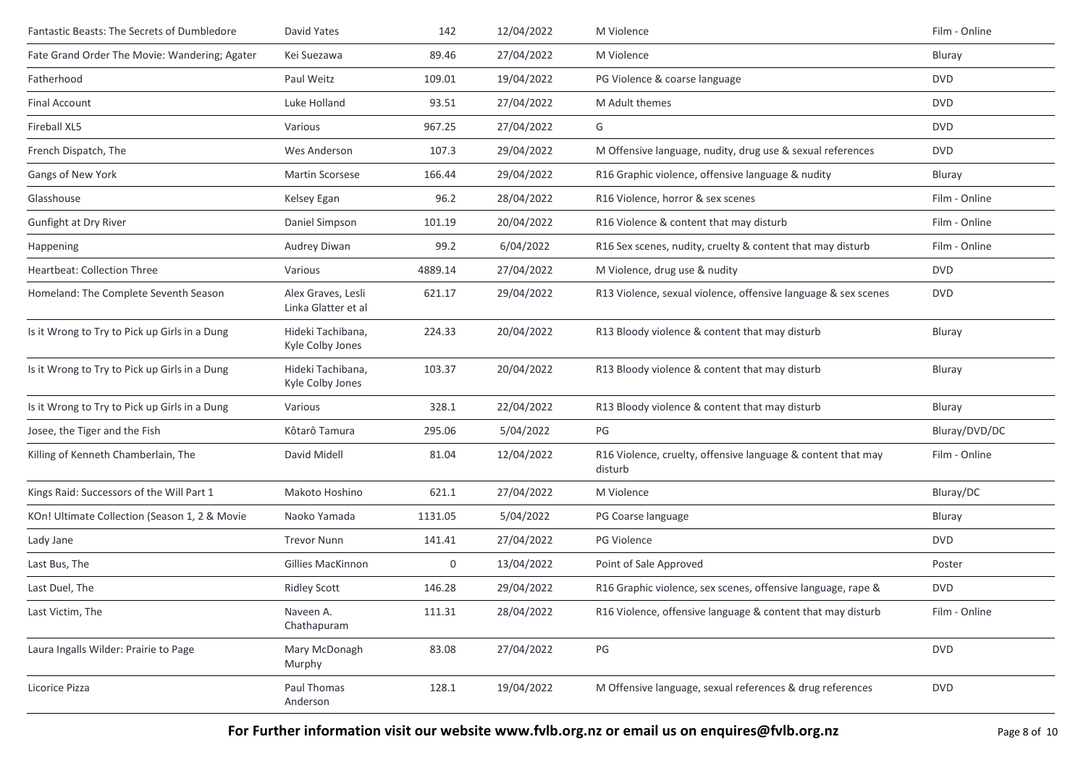| Fantastic Beasts: The Secrets of Dumbledore   | David Yates                               | 142     | 12/04/2022 | M Violence                                                              | Film - Online |
|-----------------------------------------------|-------------------------------------------|---------|------------|-------------------------------------------------------------------------|---------------|
| Fate Grand Order The Movie: Wandering; Agater | Kei Suezawa                               | 89.46   | 27/04/2022 | M Violence                                                              | Bluray        |
| Fatherhood                                    | Paul Weitz                                | 109.01  | 19/04/2022 | PG Violence & coarse language                                           | <b>DVD</b>    |
| <b>Final Account</b>                          | Luke Holland                              | 93.51   | 27/04/2022 | M Adult themes                                                          | <b>DVD</b>    |
| Fireball XL5                                  | Various                                   | 967.25  | 27/04/2022 | G                                                                       | <b>DVD</b>    |
| French Dispatch, The                          | Wes Anderson                              | 107.3   | 29/04/2022 | M Offensive language, nudity, drug use & sexual references              | <b>DVD</b>    |
| Gangs of New York                             | <b>Martin Scorsese</b>                    | 166.44  | 29/04/2022 | R16 Graphic violence, offensive language & nudity                       | Bluray        |
| Glasshouse                                    | Kelsey Egan                               | 96.2    | 28/04/2022 | R16 Violence, horror & sex scenes                                       | Film - Online |
| <b>Gunfight at Dry River</b>                  | Daniel Simpson                            | 101.19  | 20/04/2022 | R16 Violence & content that may disturb                                 | Film - Online |
| Happening                                     | Audrey Diwan                              | 99.2    | 6/04/2022  | R16 Sex scenes, nudity, cruelty & content that may disturb              | Film - Online |
| <b>Heartbeat: Collection Three</b>            | Various                                   | 4889.14 | 27/04/2022 | M Violence, drug use & nudity                                           | <b>DVD</b>    |
| Homeland: The Complete Seventh Season         | Alex Graves, Lesli<br>Linka Glatter et al | 621.17  | 29/04/2022 | R13 Violence, sexual violence, offensive language & sex scenes          | <b>DVD</b>    |
| Is it Wrong to Try to Pick up Girls in a Dung | Hideki Tachibana,<br>Kyle Colby Jones     | 224.33  | 20/04/2022 | R13 Bloody violence & content that may disturb                          | Bluray        |
| Is it Wrong to Try to Pick up Girls in a Dung | Hideki Tachibana,<br>Kyle Colby Jones     | 103.37  | 20/04/2022 | R13 Bloody violence & content that may disturb                          | Bluray        |
| Is it Wrong to Try to Pick up Girls in a Dung | Various                                   | 328.1   | 22/04/2022 | R13 Bloody violence & content that may disturb                          | Bluray        |
| Josee, the Tiger and the Fish                 | Kôtarô Tamura                             | 295.06  | 5/04/2022  | PG                                                                      | Bluray/DVD/DC |
| Killing of Kenneth Chamberlain, The           | David Midell                              | 81.04   | 12/04/2022 | R16 Violence, cruelty, offensive language & content that may<br>disturb | Film - Online |
| Kings Raid: Successors of the Will Part 1     | Makoto Hoshino                            | 621.1   | 27/04/2022 | M Violence                                                              | Bluray/DC     |
| KOn! Ultimate Collection (Season 1, 2 & Movie | Naoko Yamada                              | 1131.05 | 5/04/2022  | PG Coarse language                                                      | Bluray        |
| Lady Jane                                     | <b>Trevor Nunn</b>                        | 141.41  | 27/04/2022 | PG Violence                                                             | <b>DVD</b>    |
| Last Bus, The                                 | Gillies MacKinnon                         | 0       | 13/04/2022 | Point of Sale Approved                                                  | Poster        |
| Last Duel, The                                | <b>Ridley Scott</b>                       | 146.28  | 29/04/2022 | R16 Graphic violence, sex scenes, offensive language, rape &            | <b>DVD</b>    |
| Last Victim, The                              | Naveen A.<br>Chathapuram                  | 111.31  | 28/04/2022 | R16 Violence, offensive language & content that may disturb             | Film - Online |
| Laura Ingalls Wilder: Prairie to Page         | Mary McDonagh<br>Murphy                   | 83.08   | 27/04/2022 | $\mathsf{PG}$                                                           | <b>DVD</b>    |
| Licorice Pizza                                | Paul Thomas<br>Anderson                   | 128.1   | 19/04/2022 | M Offensive language, sexual references & drug references               | <b>DVD</b>    |

**For Further information visit our website www.fvlb.org.nz or email us on enquires@fvlb.org.nz** Page 8 of 10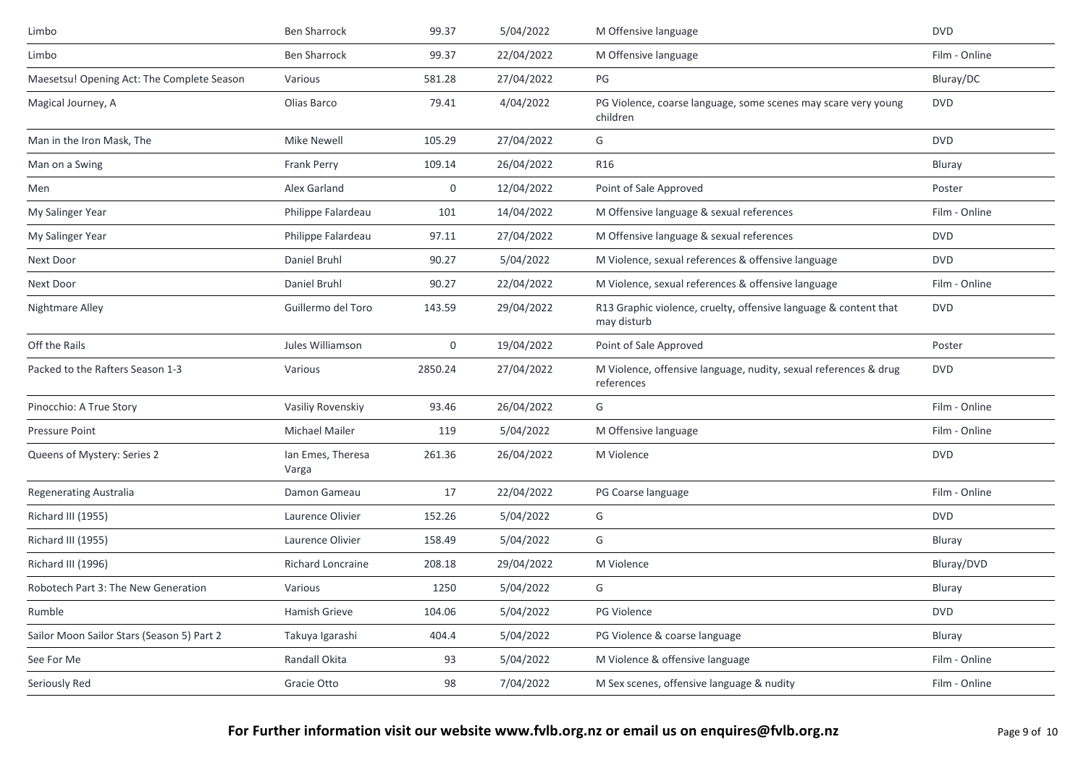| Limbo                                      | <b>Ben Sharrock</b>        | 99.37       | 5/04/2022  | M Offensive language                                                            | <b>DVD</b>    |
|--------------------------------------------|----------------------------|-------------|------------|---------------------------------------------------------------------------------|---------------|
| Limbo                                      | <b>Ben Sharrock</b>        | 99.37       | 22/04/2022 | M Offensive language                                                            | Film - Online |
| Maesetsu! Opening Act: The Complete Season | Various                    | 581.28      | 27/04/2022 | PG                                                                              | Bluray/DC     |
| Magical Journey, A                         | Olias Barco                | 79.41       | 4/04/2022  | PG Violence, coarse language, some scenes may scare very young<br>children      | <b>DVD</b>    |
| Man in the Iron Mask, The                  | <b>Mike Newell</b>         | 105.29      | 27/04/2022 | G                                                                               | <b>DVD</b>    |
| Man on a Swing                             | <b>Frank Perry</b>         | 109.14      | 26/04/2022 | R <sub>16</sub>                                                                 | Bluray        |
| Men                                        | Alex Garland               | 0           | 12/04/2022 | Point of Sale Approved                                                          | Poster        |
| My Salinger Year                           | Philippe Falardeau         | 101         | 14/04/2022 | M Offensive language & sexual references                                        | Film - Online |
| My Salinger Year                           | Philippe Falardeau         | 97.11       | 27/04/2022 | M Offensive language & sexual references                                        | <b>DVD</b>    |
| Next Door                                  | Daniel Bruhl               | 90.27       | 5/04/2022  | M Violence, sexual references & offensive language                              | <b>DVD</b>    |
| Next Door                                  | Daniel Bruhl               | 90.27       | 22/04/2022 | M Violence, sexual references & offensive language                              | Film - Online |
| Nightmare Alley                            | Guillermo del Toro         | 143.59      | 29/04/2022 | R13 Graphic violence, cruelty, offensive language & content that<br>may disturb | <b>DVD</b>    |
| Off the Rails                              | Jules Williamson           | $\mathbf 0$ | 19/04/2022 | Point of Sale Approved                                                          | Poster        |
| Packed to the Rafters Season 1-3           | Various                    | 2850.24     | 27/04/2022 | M Violence, offensive language, nudity, sexual references & drug<br>references  | <b>DVD</b>    |
| Pinocchio: A True Story                    | Vasiliy Rovenskiy          | 93.46       | 26/04/2022 | G                                                                               | Film - Online |
| <b>Pressure Point</b>                      | <b>Michael Mailer</b>      | 119         | 5/04/2022  | M Offensive language                                                            | Film - Online |
| Queens of Mystery: Series 2                | Ian Emes, Theresa<br>Varga | 261.36      | 26/04/2022 | M Violence                                                                      | <b>DVD</b>    |
| <b>Regenerating Australia</b>              | Damon Gameau               | 17          | 22/04/2022 | PG Coarse language                                                              | Film - Online |
| Richard III (1955)                         | Laurence Olivier           | 152.26      | 5/04/2022  | G                                                                               | <b>DVD</b>    |
| Richard III (1955)                         | Laurence Olivier           | 158.49      | 5/04/2022  | G                                                                               | Bluray        |
| Richard III (1996)                         | <b>Richard Loncraine</b>   | 208.18      | 29/04/2022 | M Violence                                                                      | Bluray/DVD    |
| Robotech Part 3: The New Generation        | Various                    | 1250        | 5/04/2022  | G                                                                               | Bluray        |
| Rumble                                     | Hamish Grieve              | 104.06      | 5/04/2022  | PG Violence                                                                     | <b>DVD</b>    |
| Sailor Moon Sailor Stars (Season 5) Part 2 | Takuya Igarashi            | 404.4       | 5/04/2022  | PG Violence & coarse language                                                   | Bluray        |
| See For Me                                 | Randall Okita              | 93          | 5/04/2022  | M Violence & offensive language                                                 | Film - Online |
| Seriously Red                              | Gracie Otto                | 98          | 7/04/2022  | M Sex scenes, offensive language & nudity                                       | Film - Online |
|                                            |                            |             |            |                                                                                 |               |

**For Further information visit our website www.fvlb.org.nz or email us on enquires@fvlb.org.nz** Page 9 of 10